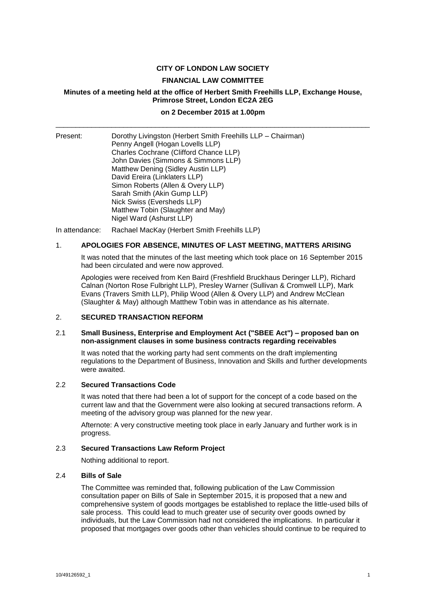# **CITY OF LONDON LAW SOCIETY**

### **FINANCIAL LAW COMMITTEE**

# **Minutes of a meeting held at the office of Herbert Smith Freehills LLP, Exchange House, Primrose Street, London EC2A 2EG**

# **on 2 December 2015 at 1.00pm** \_\_\_\_\_\_\_\_\_\_\_\_\_\_\_\_\_\_\_\_\_\_\_\_\_\_\_\_\_\_\_\_\_\_\_\_\_\_\_\_\_\_\_\_\_\_\_\_\_\_\_\_\_\_\_\_\_\_\_\_\_\_\_\_\_\_\_\_\_\_\_\_\_\_\_\_\_\_\_

| Present: | Dorothy Livingston (Herbert Smith Freehills LLP - Chairman)<br>Penny Angell (Hogan Lovells LLP) |
|----------|-------------------------------------------------------------------------------------------------|
|          | Charles Cochrane (Clifford Chance LLP)                                                          |
|          | John Davies (Simmons & Simmons LLP)                                                             |
|          | Matthew Dening (Sidley Austin LLP)                                                              |
|          | David Ereira (Linklaters LLP)                                                                   |
|          | Simon Roberts (Allen & Overy LLP)                                                               |
|          | Sarah Smith (Akin Gump LLP)                                                                     |
|          | Nick Swiss (Eversheds LLP)                                                                      |
|          | Matthew Tobin (Slaughter and May)                                                               |
|          | Nigel Ward (Ashurst LLP)                                                                        |

In attendance: Rachael MacKay (Herbert Smith Freehills LLP)

### 1. **APOLOGIES FOR ABSENCE, MINUTES OF LAST MEETING, MATTERS ARISING**

It was noted that the minutes of the last meeting which took place on 16 September 2015 had been circulated and were now approved.

Apologies were received from Ken Baird (Freshfield Bruckhaus Deringer LLP), Richard Calnan (Norton Rose Fulbright LLP), Presley Warner (Sullivan & Cromwell LLP), Mark Evans (Travers Smith LLP), Philip Wood (Allen & Overy LLP) and Andrew McClean (Slaughter & May) although Matthew Tobin was in attendance as his alternate.

# 2. **SECURED TRANSACTION REFORM**

### 2.1 **Small Business, Enterprise and Employment Act ("SBEE Act") – proposed ban on non-assignment clauses in some business contracts regarding receivables**

It was noted that the working party had sent comments on the draft implementing regulations to the Department of Business, Innovation and Skills and further developments were awaited.

# 2.2 **Secured Transactions Code**

It was noted that there had been a lot of support for the concept of a code based on the current law and that the Government were also looking at secured transactions reform. A meeting of the advisory group was planned for the new year.

Afternote: A very constructive meeting took place in early January and further work is in progress.

#### 2.3 **Secured Transactions Law Reform Project**

Nothing additional to report.

#### 2.4 **Bills of Sale**

The Committee was reminded that, following publication of the Law Commission consultation paper on Bills of Sale in September 2015, it is proposed that a new and comprehensive system of goods mortgages be established to replace the little-used bills of sale process. This could lead to much greater use of security over goods owned by individuals, but the Law Commission had not considered the implications. In particular it proposed that mortgages over goods other than vehicles should continue to be required to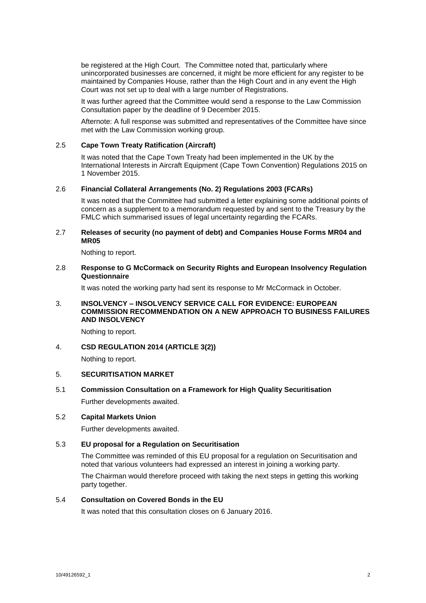be registered at the High Court. The Committee noted that, particularly where unincorporated businesses are concerned, it might be more efficient for any register to be maintained by Companies House, rather than the High Court and in any event the High Court was not set up to deal with a large number of Registrations.

It was further agreed that the Committee would send a response to the Law Commission Consultation paper by the deadline of 9 December 2015.

Afternote: A full response was submitted and representatives of the Committee have since met with the Law Commission working group.

# 2.5 **Cape Town Treaty Ratification (Aircraft)**

It was noted that the Cape Town Treaty had been implemented in the UK by the International Interests in Aircraft Equipment (Cape Town Convention) Regulations 2015 on 1 November 2015.

#### 2.6 **Financial Collateral Arrangements (No. 2) Regulations 2003 (FCARs)**

It was noted that the Committee had submitted a letter explaining some additional points of concern as a supplement to a memorandum requested by and sent to the Treasury by the FMLC which summarised issues of legal uncertainty regarding the FCARs.

### 2.7 **Releases of security (no payment of debt) and Companies House Forms MR04 and MR05**

Nothing to report.

### 2.8 **Response to G McCormack on Security Rights and European Insolvency Regulation Questionnaire**

It was noted the working party had sent its response to Mr McCormack in October.

### 3. **INSOLVENCY – INSOLVENCY SERVICE CALL FOR EVIDENCE: EUROPEAN COMMISSION RECOMMENDATION ON A NEW APPROACH TO BUSINESS FAILURES AND INSOLVENCY**

Nothing to report.

### 4. **CSD REGULATION 2014 (ARTICLE 3(2))**

Nothing to report.

# 5. **SECURITISATION MARKET**

5.1 **Commission Consultation on a Framework for High Quality Securitisation** Further developments awaited.

#### 5.2 **Capital Markets Union**

Further developments awaited.

# 5.3 **EU proposal for a Regulation on Securitisation**

The Committee was reminded of this EU proposal for a regulation on Securitisation and noted that various volunteers had expressed an interest in joining a working party.

The Chairman would therefore proceed with taking the next steps in getting this working party together.

# 5.4 **Consultation on Covered Bonds in the EU**

It was noted that this consultation closes on 6 January 2016.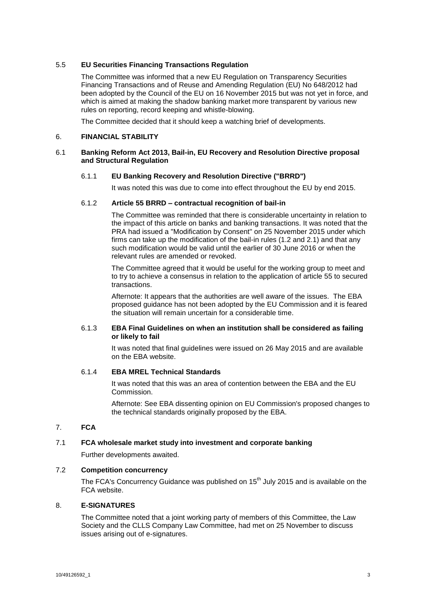# 5.5 **EU Securities Financing Transactions Regulation**

The Committee was informed that a new EU Regulation on Transparency Securities Financing Transactions and of Reuse and Amending Regulation (EU) No 648/2012 had been adopted by the Council of the EU on 16 November 2015 but was not yet in force, and which is aimed at making the shadow banking market more transparent by various new rules on reporting, record keeping and whistle-blowing.

The Committee decided that it should keep a watching brief of developments.

# 6. **FINANCIAL STABILITY**

## 6.1 **Banking Reform Act 2013, Bail-in, EU Recovery and Resolution Directive proposal and Structural Regulation**

# 6.1.1 **EU Banking Recovery and Resolution Directive ("BRRD")**

It was noted this was due to come into effect throughout the EU by end 2015.

### 6.1.2 **Article 55 BRRD – contractual recognition of bail-in**

The Committee was reminded that there is considerable uncertainty in relation to the impact of this article on banks and banking transactions. It was noted that the PRA had issued a "Modification by Consent" on 25 November 2015 under which firms can take up the modification of the bail-in rules (1.2 and 2.1) and that any such modification would be valid until the earlier of 30 June 2016 or when the relevant rules are amended or revoked.

The Committee agreed that it would be useful for the working group to meet and to try to achieve a consensus in relation to the application of article 55 to secured transactions.

Afternote: It appears that the authorities are well aware of the issues. The EBA proposed guidance has not been adopted by the EU Commission and it is feared the situation will remain uncertain for a considerable time.

### 6.1.3 **EBA Final Guidelines on when an institution shall be considered as failing or likely to fail**

It was noted that final guidelines were issued on 26 May 2015 and are available on the EBA website.

# 6.1.4 **EBA MREL Technical Standards**

It was noted that this was an area of contention between the EBA and the EU Commission.

Afternote: See EBA dissenting opinion on EU Commission's proposed changes to the technical standards originally proposed by the EBA.

# 7. **FCA**

# 7.1 **FCA wholesale market study into investment and corporate banking**

Further developments awaited.

### 7.2 **Competition concurrency**

The FCA's Concurrency Guidance was published on 15<sup>th</sup> July 2015 and is available on the FCA website.

# 8. **E-SIGNATURES**

The Committee noted that a joint working party of members of this Committee, the Law Society and the CLLS Company Law Committee, had met on 25 November to discuss issues arising out of e-signatures.